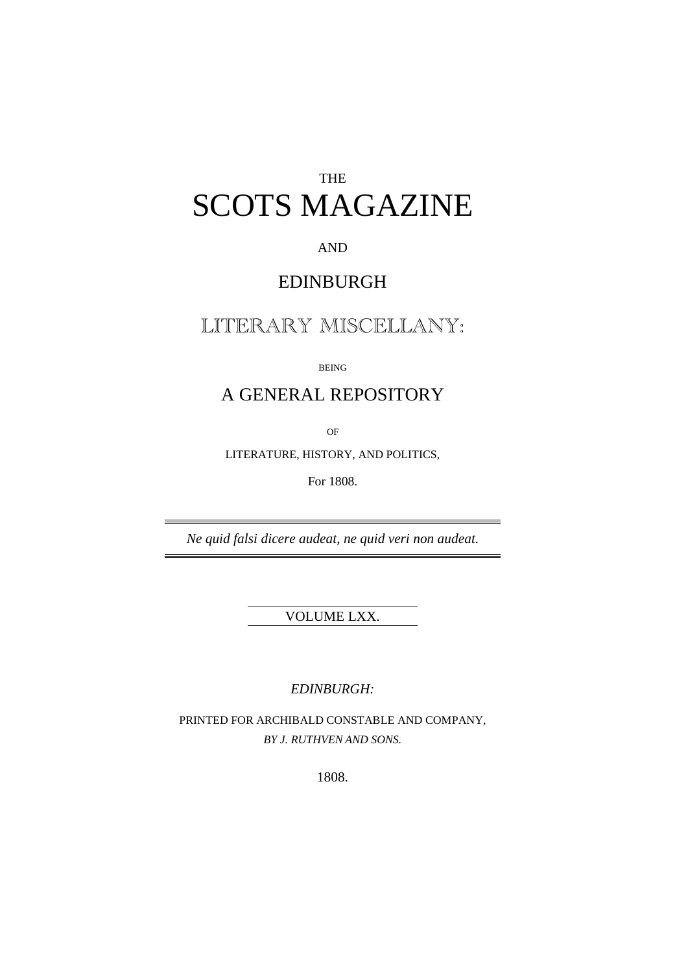## THE SCOTS MAGAZINE

AND

## EDINBURGH

## LITERARY MISCELLANY:

BEING

## A GENERAL REPOSITORY

OF

LITERATURE, HISTORY, AND POLITICS,

For 1808.

*Ne quid falsi dicere audeat, ne quid veri non audeat.*

VOLUME LXX.

*EDINBURGH:*

PRINTED FOR ARCHIBALD CONSTABLE AND COMPANY, *BY J. RUTHVEN AND SONS.*

1808.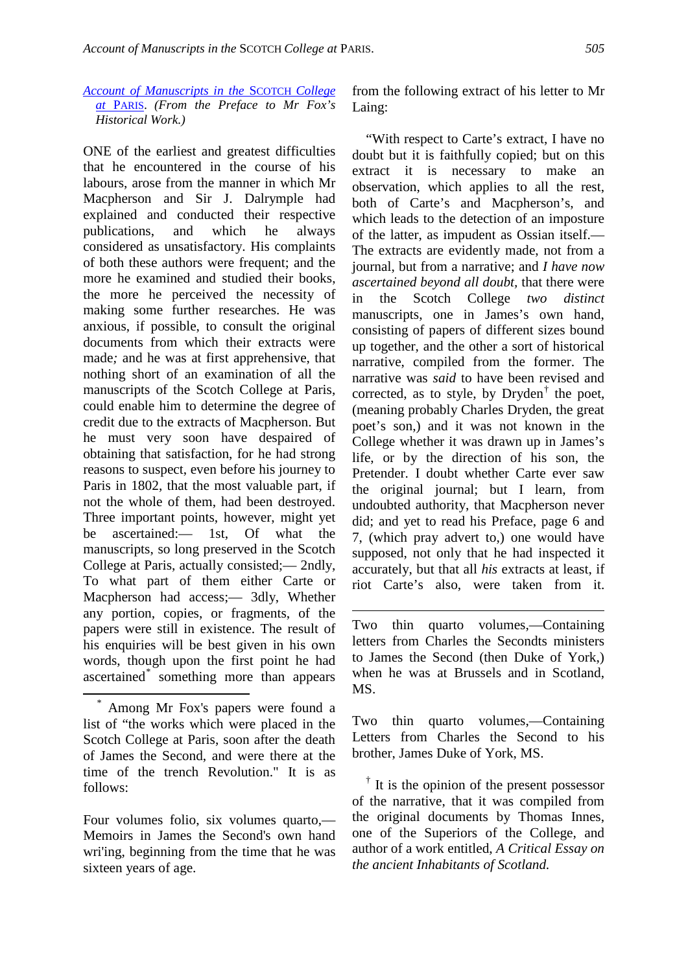*[Account of Manuscripts in the](http://books.google.com/books?id=3BIbAAAAYAAJ&dq=editions%3AcCi0ULGmlKIC&pg=PA505#v=onepage&q&f=false)* SCOTCH *College at* [PARIS.](http://books.google.com/books?id=3BIbAAAAYAAJ&dq=editions%3AcCi0ULGmlKIC&pg=PA505#v=onepage&q&f=false) *(From the Preface to Mr Fox's Historical Work.)*

ONE of the earliest and greatest difficulties that he encountered in the course of his labours, arose from the manner in which Mr Macpherson and Sir J. Dalrymple had explained and conducted their respective publications, and which he always considered as unsatisfactory. His complaints of both these authors were frequent; and the more he examined and studied their books, the more he perceived the necessity of making some further researches. He was anxious, if possible, to consult the original documents from which their extracts were made*;* and he was at first apprehensive, that nothing short of an examination of all the manuscripts of the Scotch College at Paris, could enable him to determine the degree of credit due to the extracts of Macpherson. But he must very soon have despaired of obtaining that satisfaction, for he had strong reasons to suspect, even before his journey to Paris in 1802, that the most valuable part, if not the whole of them, had been destroyed. Three important points, however, might yet be ascertained:— 1st, Of what the manuscripts, so long preserved in the Scotch College at Paris, actually consisted;— 2ndly, To what part of them either Carte or Macpherson had access;— 3dly, Whether any portion, copies, or fragments, of the papers were still in existence. The result of his enquiries will be best given in his own words, though upon the first point he had ascertained[\\*](#page-1-0) something more than appears

<span id="page-1-1"></span>Four volumes folio, six volumes quarto,— Memoirs in James the Second's own hand wri'ing, beginning from the time that he was sixteen years of age.

from the following extract of his letter to Mr Laing:

"With respect to Carte's extract, I have no doubt but it is faithfully copied; but on this extract it is necessary to make an observation, which applies to all the rest, both of Carte's and Macpherson's, and which leads to the detection of an imposture of the latter, as impudent as Ossian itself.— The extracts are evidently made, not from a journal, but from a narrative; and *I have now ascertained beyond all doubt,* that there were in the Scotch College *two distinct*  manuscripts, one in James's own hand, consisting of papers of different sizes bound up together, and the other a sort of historical narrative, compiled from the former. The narrative was *said* to have been revised and corrected, as to style, by  $Dryden^{\dagger}$  the poet, (meaning probably Charles Dryden, the great poet's son,) and it was not known in the College whether it was drawn up in James's life, or by the direction of his son, the Pretender. I doubt whether Carte ever saw the original journal; but I learn, from undoubted authority, that Macpherson never did; and yet to read his Preface, page 6 and 7, (which pray advert to,) one would have supposed, not only that he had inspected it accurately, but that all *his* extracts at least, if riot Carte's also, were taken from it.

Two thin quarto volumes,—Containing letters from Charles the Secondts ministers to James the Second (then Duke of York,) when he was at Brussels and in Scotland, MS.

1

Two thin quarto volumes,—Containing Letters from Charles the Second to his brother, James Duke of York, MS.

 $\dagger$  It is the opinion of the present possessor of the narrative, that it was compiled from the original documents by Thomas Innes, one of the Superiors of the College, and author of a work entitled, *A Critical Essay on the ancient Inhabitants of Scotland.*

<span id="page-1-0"></span>\* Among Mr Fox's papers were found a list of "the works which were placed in the Scotch College at Paris, soon after the death of James the Second, and were there at the time of the trench Revolution." It is as follows: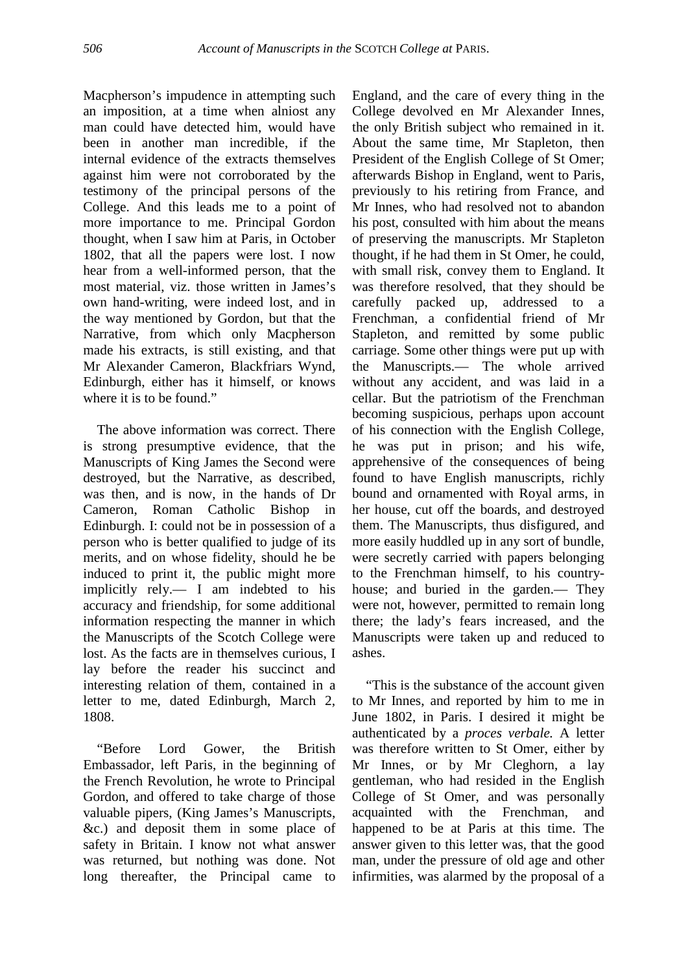Macpherson's impudence in attempting such an imposition, at a time when alniost any man could have detected him, would have been in another man incredible, if the internal evidence of the extracts themselves against him were not corroborated by the testimony of the principal persons of the College. And this leads me to a point of more importance to me. Principal Gordon thought, when I saw him at Paris, in October 1802, that all the papers were lost. I now hear from a well-informed person, that the most material, viz. those written in James's own hand-writing, were indeed lost, and in the way mentioned by Gordon, but that the Narrative, from which only Macpherson made his extracts, is still existing, and that Mr Alexander Cameron, Blackfriars Wynd, Edinburgh, either has it himself, or knows where it is to be found."

The above information was correct. There is strong presumptive evidence, that the Manuscripts of King James the Second were destroyed, but the Narrative, as described, was then, and is now, in the hands of Dr Cameron, Roman Catholic Bishop in Edinburgh. I: could not be in possession of a person who is better qualified to judge of its merits, and on whose fidelity, should he be induced to print it, the public might more implicitly rely.— I am indebted to his accuracy and friendship, for some additional information respecting the manner in which the Manuscripts of the Scotch College were lost. As the facts are in themselves curious, I lay before the reader his succinct and interesting relation of them, contained in a letter to me, dated Edinburgh, March 2, 1808.

"Before Lord Gower, the British Embassador, left Paris, in the beginning of the French Revolution, he wrote to Principal Gordon, and offered to take charge of those valuable pipers, (King James's Manuscripts, &c.) and deposit them in some place of safety in Britain. I know not what answer was returned, but nothing was done. Not long thereafter, the Principal came to England, and the care of every thing in the College devolved en Mr Alexander Innes, the only British subject who remained in it. About the same time, Mr Stapleton, then President of the English College of St Omer; afterwards Bishop in England, went to Paris, previously to his retiring from France, and Mr Innes, who had resolved not to abandon his post, consulted with him about the means of preserving the manuscripts. Mr Stapleton thought, if he had them in St Omer, he could, with small risk, convey them to England. It was therefore resolved, that they should be carefully packed up, addressed to a Frenchman, a confidential friend of Mr Stapleton, and remitted by some public carriage. Some other things were put up with the Manuscripts.— The whole arrived without any accident, and was laid in a cellar. But the patriotism of the Frenchman becoming suspicious, perhaps upon account of his connection with the English College, he was put in prison; and his wife, apprehensive of the consequences of being found to have English manuscripts, richly bound and ornamented with Royal arms, in her house, cut off the boards, and destroyed them. The Manuscripts, thus disfigured, and more easily huddled up in any sort of bundle, were secretly carried with papers belonging to the Frenchman himself, to his countryhouse; and buried in the garden.— They were not, however, permitted to remain long there; the lady's fears increased, and the Manuscripts were taken up and reduced to ashes.

"This is the substance of the account given to Mr Innes, and reported by him to me in June 1802, in Paris. I desired it might be authenticated by a *proces verbale.* A letter was therefore written to St Omer, either by Mr Innes, or by Mr Cleghorn, a lay gentleman, who had resided in the English College of St Omer, and was personally acquainted with the Frenchman, and happened to be at Paris at this time. The answer given to this letter was, that the good man, under the pressure of old age and other infirmities, was alarmed by the proposal of a